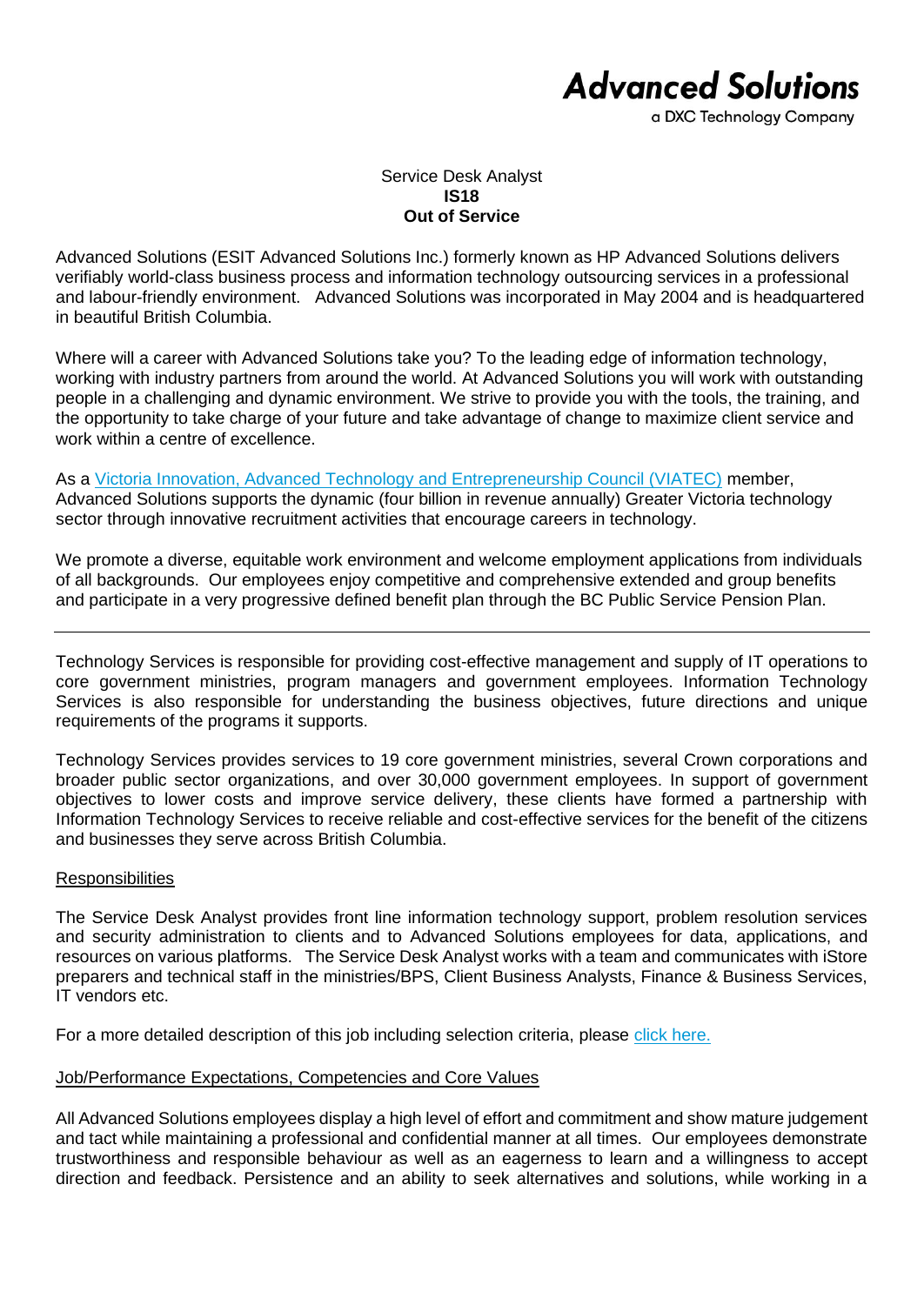## **Advanced Solutions**

a DXC Technology Company

Service Desk Analyst **IS18 Out of Service**

Advanced Solutions (ESIT Advanced Solutions Inc.) formerly known as HP Advanced Solutions delivers verifiably world-class business process and information technology outsourcing services in a professional and labour-friendly environment. Advanced Solutions was incorporated in May 2004 and is headquartered in beautiful British Columbia.

Where will a career with Advanced Solutions take you? To the leading edge of information technology, working with industry partners from around the world. At Advanced Solutions you will work with outstanding people in a challenging and dynamic environment. We strive to provide you with the tools, the training, and the opportunity to take charge of your future and take advantage of change to maximize client service and work within a centre of excellence.

As a [Victoria Innovation, Advanced Technology and Entrepreneurship Council \(VIATEC\)](http://www.viatec.ca/) member, Advanced Solutions supports the dynamic (four billion in revenue annually) Greater Victoria technology sector through innovative recruitment activities that encourage careers in technology.

We promote a diverse, equitable work environment and welcome employment applications from individuals of all backgrounds. Our employees enjoy competitive and comprehensive extended and group benefits and participate in a very progressive defined benefit plan through the BC Public Service Pension Plan.

Technology Services is responsible for providing cost-effective management and supply of IT operations to core government ministries, program managers and government employees. Information Technology Services is also responsible for understanding the business objectives, future directions and unique requirements of the programs it supports.

Technology Services provides services to 19 core government ministries, several Crown corporations and broader public sector organizations, and over 30,000 government employees. In support of government objectives to lower costs and improve service delivery, these clients have formed a partnership with Information Technology Services to receive reliable and cost-effective services for the benefit of the citizens and businesses they serve across British Columbia.

## **Responsibilities**

The Service Desk Analyst provides front line information technology support, problem resolution services and security administration to clients and to Advanced Solutions employees for data, applications, and resources on various platforms. The Service Desk Analyst works with a team and communicates with iStore preparers and technical staff in the ministries/BPS, Client Business Analysts, Finance & Business Services, IT vendors etc.

For a more detailed description of this job including selection criteria, please [click here.](https://www.dxcas.com/images/DXCAS/Careers/pdf/IS18_Service_Desk_Analyst_JD.pdf)

## Job/Performance Expectations, Competencies and Core Values

All Advanced Solutions employees display a high level of effort and commitment and show mature judgement and tact while maintaining a professional and confidential manner at all times. Our employees demonstrate trustworthiness and responsible behaviour as well as an eagerness to learn and a willingness to accept direction and feedback. Persistence and an ability to seek alternatives and solutions, while working in a